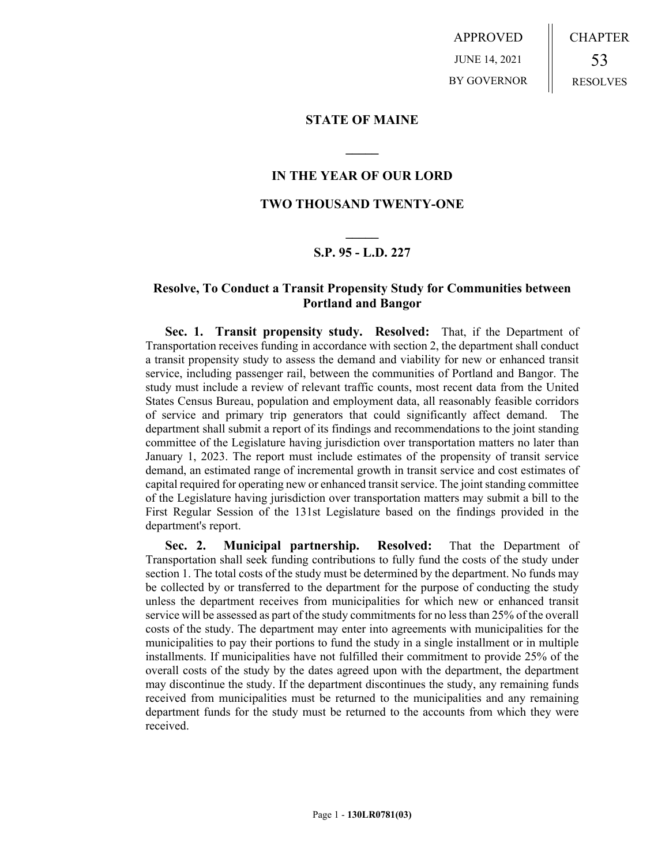APPROVED JUNE 14, 2021 BY GOVERNOR CHAPTER 53 RESOLVES

### **STATE OF MAINE**

### **IN THE YEAR OF OUR LORD**

**\_\_\_\_\_**

## **TWO THOUSAND TWENTY-ONE**

# **\_\_\_\_\_ S.P. 95 - L.D. 227**

## **Resolve, To Conduct a Transit Propensity Study for Communities between Portland and Bangor**

**Sec. 1. Transit propensity study. Resolved:** That, if the Department of Transportation receives funding in accordance with section 2, the department shall conduct a transit propensity study to assess the demand and viability for new or enhanced transit service, including passenger rail, between the communities of Portland and Bangor. The study must include a review of relevant traffic counts, most recent data from the United States Census Bureau, population and employment data, all reasonably feasible corridors of service and primary trip generators that could significantly affect demand. The department shall submit a report of its findings and recommendations to the joint standing committee of the Legislature having jurisdiction over transportation matters no later than January 1, 2023. The report must include estimates of the propensity of transit service demand, an estimated range of incremental growth in transit service and cost estimates of capital required for operating new or enhanced transit service. The joint standing committee of the Legislature having jurisdiction over transportation matters may submit a bill to the First Regular Session of the 131st Legislature based on the findings provided in the department's report.

**Sec. 2. Municipal partnership. Resolved:** That the Department of Transportation shall seek funding contributions to fully fund the costs of the study under section 1. The total costs of the study must be determined by the department. No funds may be collected by or transferred to the department for the purpose of conducting the study unless the department receives from municipalities for which new or enhanced transit service will be assessed as part of the study commitments for no less than 25% of the overall costs of the study. The department may enter into agreements with municipalities for the municipalities to pay their portions to fund the study in a single installment or in multiple installments. If municipalities have not fulfilled their commitment to provide 25% of the overall costs of the study by the dates agreed upon with the department, the department may discontinue the study. If the department discontinues the study, any remaining funds received from municipalities must be returned to the municipalities and any remaining department funds for the study must be returned to the accounts from which they were received.